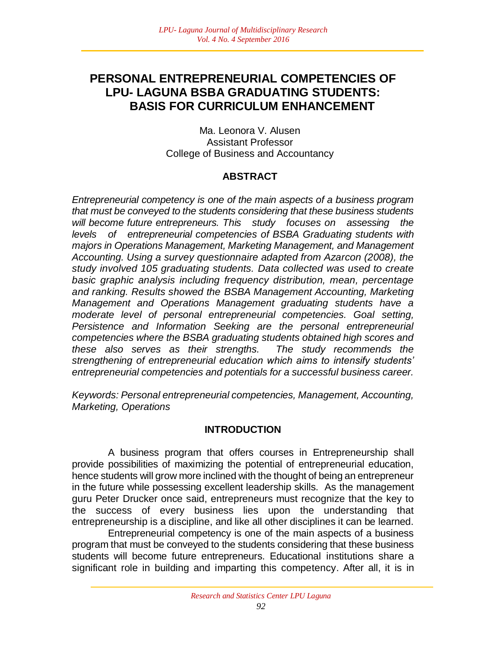# **PERSONAL ENTREPRENEURIAL COMPETENCIES OF LPU- LAGUNA BSBA GRADUATING STUDENTS: BASIS FOR CURRICULUM ENHANCEMENT**

Ma. Leonora V. Alusen Assistant Professor College of Business and Accountancy

# **ABSTRACT**

*Entrepreneurial competency is one of the main aspects of a business program that must be conveyed to the students considering that these business students will become future entrepreneurs. This study focuses on assessing the levels of entrepreneurial competencies of BSBA Graduating students with majors in Operations Management, Marketing Management, and Management Accounting. Using a survey questionnaire adapted from Azarcon (2008), the study involved 105 graduating students. Data collected was used to create basic graphic analysis including frequency distribution, mean, percentage and ranking. Results showed the BSBA Management Accounting, Marketing Management and Operations Management graduating students have a moderate level of personal entrepreneurial competencies. Goal setting, Persistence and Information Seeking are the personal entrepreneurial competencies where the BSBA graduating students obtained high scores and these also serves as their strengths. The study recommends the strengthening of entrepreneurial education which aims to intensify students' entrepreneurial competencies and potentials for a successful business career.* 

*Keywords: Personal entrepreneurial competencies, Management, Accounting, Marketing, Operations*

# **INTRODUCTION**

A business program that offers courses in Entrepreneurship shall provide possibilities of maximizing the potential of entrepreneurial education, hence students will grow more inclined with the thought of being an entrepreneur in the future while possessing excellent leadership skills. As the management guru Peter Drucker once said, entrepreneurs must recognize that the key to the success of every business lies upon the understanding that entrepreneurship is a discipline, and like all other disciplines it can be learned.

Entrepreneurial competency is one of the main aspects of a business program that must be conveyed to the students considering that these business students will become future entrepreneurs. Educational institutions share a significant role in building and imparting this competency. After all, it is in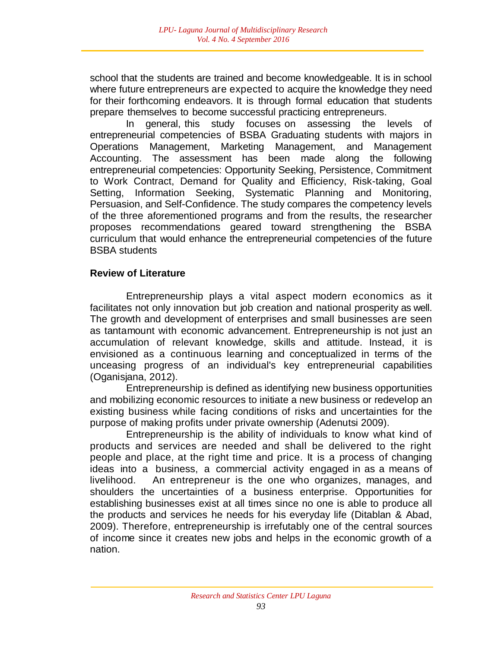school that the students are trained and become knowledgeable. It is in school where future entrepreneurs are expected to acquire the knowledge they need for their forthcoming endeavors. It is through formal education that students prepare themselves to become successful practicing entrepreneurs.

In general, this study focuses on assessing the levels of entrepreneurial competencies of BSBA Graduating students with majors in Operations Management, Marketing Management, and Management Accounting. The assessment has been made along the following entrepreneurial competencies: Opportunity Seeking, Persistence, Commitment to Work Contract, Demand for Quality and Efficiency, Risk-taking, Goal Setting, Information Seeking, Systematic Planning and Monitoring, Persuasion, and Self-Confidence. The study compares the competency levels of the three aforementioned programs and from the results, the researcher proposes recommendations geared toward strengthening the BSBA curriculum that would enhance the entrepreneurial competencies of the future BSBA students

#### **Review of Literature**

Entrepreneurship plays a vital aspect modern economics as it facilitates not only innovation but job creation and national prosperity as well. The growth and development of enterprises and small businesses are seen as tantamount with economic advancement. Entrepreneurship is not just an accumulation of relevant knowledge, skills and attitude. Instead, it is envisioned as a continuous learning and conceptualized in terms of the unceasing progress of an individual's key entrepreneurial capabilities (Oganisjana, 2012).

Entrepreneurship is defined as identifying new business opportunities and mobilizing economic resources to initiate a new business or redevelop an existing business while facing conditions of risks and uncertainties for the purpose of making profits under private ownership (Adenutsi 2009).

Entrepreneurship is the ability of individuals to know what kind of products and services are needed and shall be delivered to the right people and place, at the right time and price. It is a process of changing ideas into a business, a commercial activity engaged in as a means of livelihood. An entrepreneur is the one who organizes, manages, and shoulders the uncertainties of a business enterprise. Opportunities for establishing businesses exist at all times since no one is able to produce all the products and services he needs for his everyday life (Ditablan & Abad, 2009). Therefore, entrepreneurship is irrefutably one of the central sources of income since it creates new jobs and helps in the economic growth of a nation.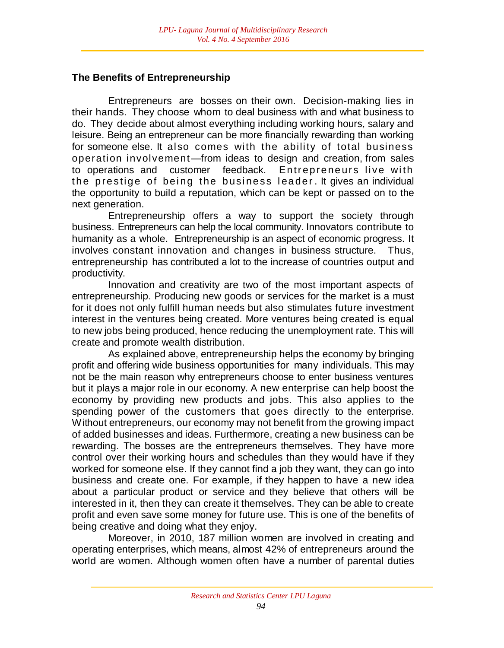#### **The Benefits of Entrepreneurship**

Entrepreneurs are bosses on their own. Decision-making lies in their hands. They choose whom to deal business with and what business to do. They decide about almost everything including working hours, salary and leisure. Being an entrepreneur can be more financially rewarding than working for someone else. It also comes with the ability of total business operation involvement—from ideas to design and creation, from sales to operations and customer feedback. Entrepreneurs live with the prestige of being the business leader. It gives an individual the opportunity to build a reputation, which can be kept or passed on to the next generation.

Entrepreneurship offers a way to support the society through business. Entrepreneurs can help the local community. Innovators contribute to humanity as a whole. Entrepreneurship is an aspect of economic progress. It involves constant innovation and changes in business structure. Thus, entrepreneurship has contributed a lot to the increase of countries output and productivity.

Innovation and creativity are two of the most important aspects of entrepreneurship. Producing new goods or services for the market is a must for it does not only fulfill human needs but also stimulates future investment interest in the ventures being created. More ventures being created is equal to new jobs being produced, hence reducing the unemployment rate. This will create and promote wealth distribution.

As explained above, entrepreneurship helps the economy by bringing profit and offering wide business opportunities for many individuals. This may not be the main reason why entrepreneurs choose to enter business ventures but it plays a major role in our economy. A new enterprise can help boost the economy by providing new products and jobs. This also applies to the spending power of the customers that goes directly to the enterprise. Without entrepreneurs, our economy may not benefit from the growing impact of added businesses and ideas. Furthermore, creating a new business can be rewarding. The bosses are the entrepreneurs themselves. They have more control over their working hours and schedules than they would have if they worked for someone else. If they cannot find a job they want, they can go into business and create one. For example, if they happen to have a new idea about a particular product or service and they believe that others will be interested in it, then they can create it themselves. They can be able to create profit and even save some money for future use. This is one of the benefits of being creative and doing what they enjoy.

Moreover, in 2010, 187 million women are involved in creating and operating enterprises, which means, almost 42% of entrepreneurs around the world are women. Although women often have a number of parental duties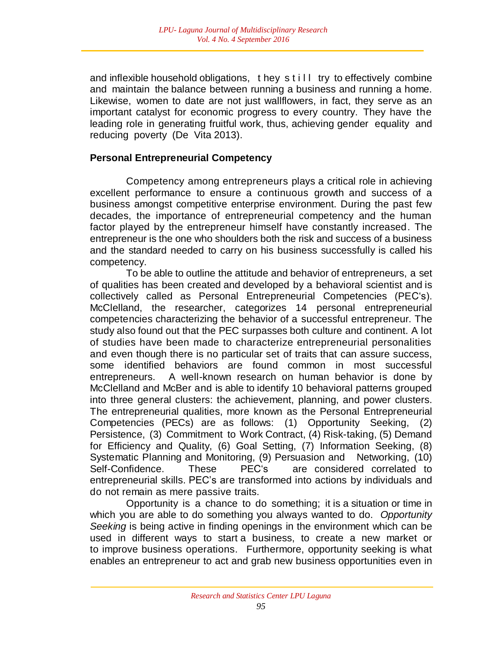and inflexible household obligations, they still try to effectively combine and maintain the balance between running a business and running a home. Likewise, women to date are not just wallflowers, in fact, they serve as an important catalyst for economic progress to every country. They have the leading role in generating fruitful work, thus, achieving gender equality and reducing poverty (De Vita 2013).

#### **Personal Entrepreneurial Competency**

Competency among entrepreneurs plays a critical role in achieving excellent performance to ensure a continuous growth and success of a business amongst competitive enterprise environment. During the past few decades, the importance of entrepreneurial competency and the human factor played by the entrepreneur himself have constantly increased. The entrepreneur is the one who shoulders both the risk and success of a business and the standard needed to carry on his business successfully is called his competency.

To be able to outline the attitude and behavior of entrepreneurs, a set of qualities has been created and developed by a behavioral scientist and is collectively called as Personal Entrepreneurial Competencies (PEC's). McClelland, the researcher, categorizes 14 personal entrepreneurial competencies characterizing the behavior of a successful entrepreneur. The study also found out that the PEC surpasses both culture and continent. A lot of studies have been made to characterize entrepreneurial personalities and even though there is no particular set of traits that can assure success, some identified behaviors are found common in most successful entrepreneurs. A well-known research on human behavior is done by McClelland and McBer and is able to identify 10 behavioral patterns grouped into three general clusters: the achievement, planning, and power clusters. The entrepreneurial qualities, more known as the Personal Entrepreneurial Competencies (PECs) are as follows: (1) Opportunity Seeking, (2) Persistence, (3) Commitment to Work Contract, (4) Risk-taking, (5) Demand for Efficiency and Quality, (6) Goal Setting, (7) Information Seeking, (8) Systematic Planning and Monitoring, (9) Persuasion and Networking, (10) Self-Confidence. These PEC's are considered correlated to entrepreneurial skills. PEC's are transformed into actions by individuals and do not remain as mere passive traits.

Opportunity is a chance to do something; it is a situation or time in which you are able to do something you always wanted to do. *Opportunity Seeking* is being active in finding openings in the environment which can be used in different ways to start a business, to create a new market or to improve business operations. Furthermore, opportunity seeking is what enables an entrepreneur to act and grab new business opportunities even in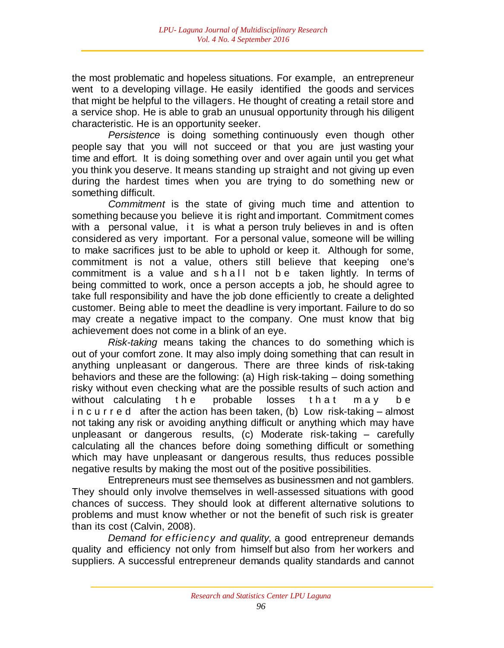the most problematic and hopeless situations. For example, an entrepreneur went to a developing village. He easily identified the goods and services that might be helpful to the villagers. He thought of creating a retail store and a service shop. He is able to grab an unusual opportunity through his diligent characteristic. He is an opportunity seeker.

*Persistence* is doing something continuously even though other people say that you will not succeed or that you are just wasting your time and effort. It is doing something over and over again until you get what you think you deserve. It means standing up straight and not giving up even during the hardest times when you are trying to do something new or something difficult.

*Commitment* is the state of giving much time and attention to something because you believe it is right and important. Commitment comes with a personal value, it is what a person truly believes in and is often considered as very important. For a personal value, someone will be willing to make sacrifices just to be able to uphold or keep it. Although for some, commitment is not a value, others still believe that keeping one's commitment is a value and shall not be taken lightly. In terms of being committed to work, once a person accepts a job, he should agree to take full responsibility and have the job done efficiently to create a delighted customer. Being able to meet the deadline is very important. Failure to do so may create a negative impact to the company. One must know that big achievement does not come in a blink of an eye.

*Risk-taking* means taking the chances to do something which is out of your comfort zone. It may also imply doing something that can result in anything unpleasant or dangerous. There are three kinds of risk-taking behaviors and these are the following: (a) High risk-taking – doing something risky without even checking what are the possible results of such action and without calculating the probable losses that  $max$  be i n c u r r e d after the action has been taken, (b) Low risk-taking – almost not taking any risk or avoiding anything difficult or anything which may have unpleasant or dangerous results, (c) Moderate risk-taking – carefully calculating all the chances before doing something difficult or something which may have unpleasant or dangerous results, thus reduces possible negative results by making the most out of the positive possibilities.

Entrepreneurs must see themselves as businessmen and not gamblers. They should only involve themselves in well-assessed situations with good chances of success. They should look at different alternative solutions to problems and must know whether or not the benefit of such risk is greater than its cost (Calvin, 2008).

*Demand for efficiency and quality*, a good entrepreneur demands quality and efficiency not only from himself but also from her workers and suppliers. A successful entrepreneur demands quality standards and cannot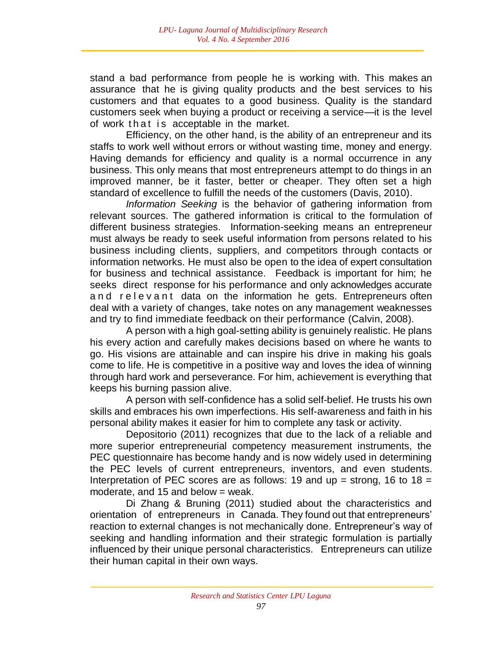stand a bad performance from people he is working with. This makes an assurance that he is giving quality products and the best services to his customers and that equates to a good business. Quality is the standard customers seek when buying a product or receiving a service—it is the level of work that is acceptable in the market.

Efficiency, on the other hand, is the ability of an entrepreneur and its staffs to work well without errors or without wasting time, money and energy. Having demands for efficiency and quality is a normal occurrence in any business. This only means that most entrepreneurs attempt to do things in an improved manner, be it faster, better or cheaper. They often set a high standard of excellence to fulfill the needs of the customers (Davis, 2010).

*Information Seeking* is the behavior of gathering information from relevant sources. The gathered information is critical to the formulation of different business strategies. Information-seeking means an entrepreneur must always be ready to seek useful information from persons related to his business including clients, suppliers, and competitors through contacts or information networks. He must also be open to the idea of expert consultation for business and technical assistance. Feedback is important for him; he seeks direct response for his performance and only acknowledges accurate and relevant data on the information he gets. Entrepreneurs often deal with a variety of changes, take notes on any management weaknesses and try to find immediate feedback on their performance (Calvin, 2008).

A person with a high goal-setting ability is genuinely realistic. He plans his every action and carefully makes decisions based on where he wants to go. His visions are attainable and can inspire his drive in making his goals come to life. He is competitive in a positive way and loves the idea of winning through hard work and perseverance. For him, achievement is everything that keeps his burning passion alive.

A person with self-confidence has a solid self-belief. He trusts his own skills and embraces his own imperfections. His self-awareness and faith in his personal ability makes it easier for him to complete any task or activity.

Depositorio (2011) recognizes that due to the lack of a reliable and more superior entrepreneurial competency measurement instruments, the PEC questionnaire has become handy and is now widely used in determining the PEC levels of current entrepreneurs, inventors, and even students. Interpretation of PEC scores are as follows: 19 and up = strong, 16 to 18 = moderate, and 15 and below  $=$  weak.

Di Zhang & Bruning (2011) studied about the characteristics and orientation of entrepreneurs in Canada. They found out that entrepreneurs' reaction to external changes is not mechanically done. Entrepreneur's way of seeking and handling information and their strategic formulation is partially influenced by their unique personal characteristics. Entrepreneurs can utilize their human capital in their own ways.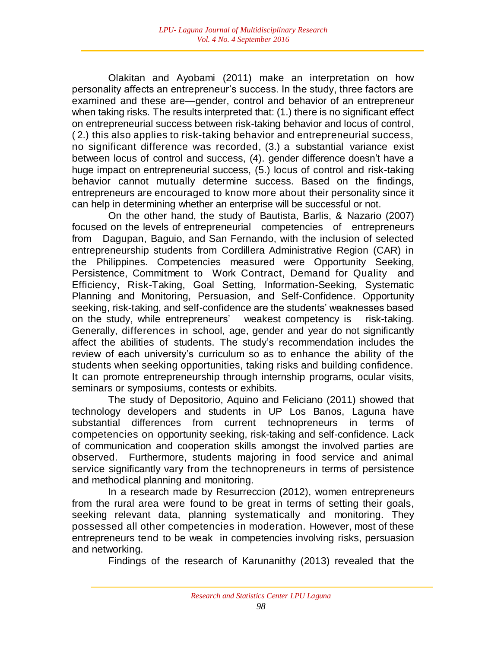Olakitan and Ayobami (2011) make an interpretation on how personality affects an entrepreneur's success. In the study, three factors are examined and these are—gender, control and behavior of an entrepreneur when taking risks. The results interpreted that: (1.) there is no significant effect on entrepreneurial success between risk-taking behavior and locus of control, (2.) this also applies to risk-taking behavior and entrepreneurial success, no significant difference was recorded, (3.) a substantial variance exist between locus of control and success, (4). gender difference doesn't have a huge impact on entrepreneurial success, (5.) locus of control and risk-taking behavior cannot mutually determine success. Based on the findings, entrepreneurs are encouraged to know more about their personality since it can help in determining whether an enterprise will be successful or not.

On the other hand, the study of Bautista, Barlis, & Nazario (2007) focused on the levels of entrepreneurial competencies of entrepreneurs from Dagupan, Baguio, and San Fernando, with the inclusion of selected entrepreneurship students from Cordillera Administrative Region (CAR) in the Philippines. Competencies measured were Opportunity Seeking, Persistence, Commitment to Work Contract, Demand for Quality and Efficiency, Risk-Taking, Goal Setting, Information-Seeking, Systematic Planning and Monitoring, Persuasion, and Self-Confidence. Opportunity seeking, risk-taking, and self-confidence are the students' weaknesses based on the study, while entrepreneurs' weakest competency is risk-taking. Generally, differences in school, age, gender and year do not significantly affect the abilities of students. The study's recommendation includes the review of each university's curriculum so as to enhance the ability of the students when seeking opportunities, taking risks and building confidence. It can promote entrepreneurship through internship programs, ocular visits, seminars or symposiums, contests or exhibits.

The study of Depositorio, Aquino and Feliciano (2011) showed that technology developers and students in UP Los Banos, Laguna have substantial differences from current technopreneurs in terms of competencies on opportunity seeking, risk-taking and self-confidence. Lack of communication and cooperation skills amongst the involved parties are observed. Furthermore, students majoring in food service and animal service significantly vary from the technopreneurs in terms of persistence and methodical planning and monitoring.

In a research made by Resurreccion (2012), women entrepreneurs from the rural area were found to be great in terms of setting their goals, seeking relevant data, planning systematically and monitoring. They possessed all other competencies in moderation. However, most of these entrepreneurs tend to be weak in competencies involving risks, persuasion and networking.

Findings of the research of Karunanithy (2013) revealed that the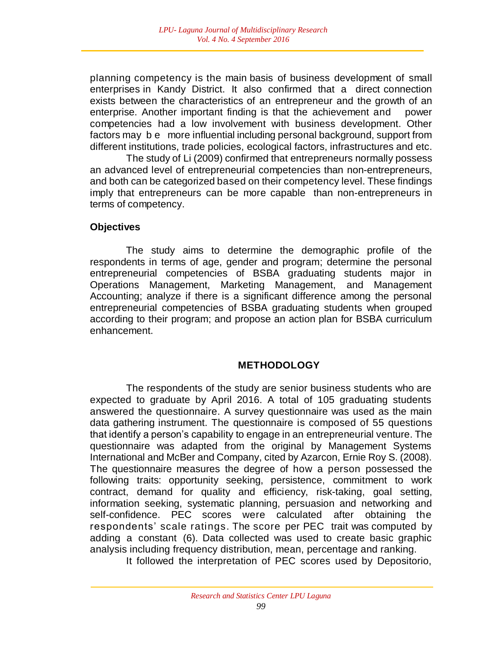planning competency is the main basis of business development of small enterprises in Kandy District. It also confirmed that a direct connection exists between the characteristics of an entrepreneur and the growth of an enterprise. Another important finding is that the achievement and power competencies had a low involvement with business development. Other factors may be more influential including personal background, support from different institutions, trade policies, ecological factors, infrastructures and etc.

The study of Li (2009) confirmed that entrepreneurs normally possess an advanced level of entrepreneurial competencies than non-entrepreneurs, and both can be categorized based on their competency level. These findings imply that entrepreneurs can be more capable than non-entrepreneurs in terms of competency.

### **Objectives**

The study aims to determine the demographic profile of the respondents in terms of age, gender and program; determine the personal entrepreneurial competencies of BSBA graduating students major in Operations Management, Marketing Management, and Management Accounting; analyze if there is a significant difference among the personal entrepreneurial competencies of BSBA graduating students when grouped according to their program; and propose an action plan for BSBA curriculum enhancement.

#### **METHODOLOGY**

The respondents of the study are senior business students who are expected to graduate by April 2016. A total of 105 graduating students answered the questionnaire. A survey questionnaire was used as the main data gathering instrument. The questionnaire is composed of 55 questions that identify a person's capability to engage in an entrepreneurial venture. The questionnaire was adapted from the original by Management Systems International and McBer and Company, cited by Azarcon, Ernie Roy S. (2008). The questionnaire measures the degree of how a person possessed the following traits: opportunity seeking, persistence, commitment to work contract, demand for quality and efficiency, risk-taking, goal setting, information seeking, systematic planning, persuasion and networking and self-confidence. PEC scores were calculated after obtaining the respondents' scale ratings. The score per PEC trait was computed by adding a constant (6). Data collected was used to create basic graphic analysis including frequency distribution, mean, percentage and ranking.

It followed the interpretation of PEC scores used by Depositorio,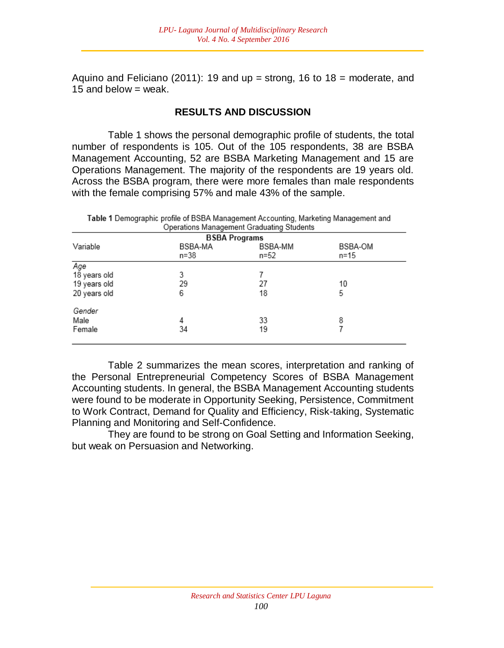Aquino and Feliciano (2011): 19 and up = strong, 16 to 18 = moderate, and 15 and below  $=$  weak.

# **RESULTS AND DISCUSSION**

Table 1 shows the personal demographic profile of students, the total number of respondents is 105. Out of the 105 respondents, 38 are BSBA Management Accounting, 52 are BSBA Marketing Management and 15 are Operations Management. The majority of the respondents are 19 years old. Across the BSBA program, there were more females than male respondents with the female comprising 57% and male 43% of the sample.

Table 1 Demographic profile of BSBA Management Accounting, Marketing Management and Operations Management Graduating Students

| <b>BSBA Programs</b> |                 |                 |                 |
|----------------------|-----------------|-----------------|-----------------|
| Variable             | BSBA-MA<br>n=38 | BSBA-MM<br>n=52 | BSBA-OM<br>n=15 |
| Age                  |                 |                 |                 |
| 18 years old         | 3               |                 |                 |
| 19 years old         | 29              | 27              | 10              |
| 20 years old         | 6               | 18              | 5               |
| Gender               |                 |                 |                 |
| Male                 | 4               | 33              | 8               |
| Female               | 34              | 19              |                 |
|                      |                 |                 |                 |

Table 2 summarizes the mean scores, interpretation and ranking of the Personal Entrepreneurial Competency Scores of BSBA Management Accounting students. In general, the BSBA Management Accounting students were found to be moderate in Opportunity Seeking, Persistence, Commitment to Work Contract, Demand for Quality and Efficiency, Risk-taking, Systematic Planning and Monitoring and Self-Confidence.

They are found to be strong on Goal Setting and Information Seeking, but weak on Persuasion and Networking.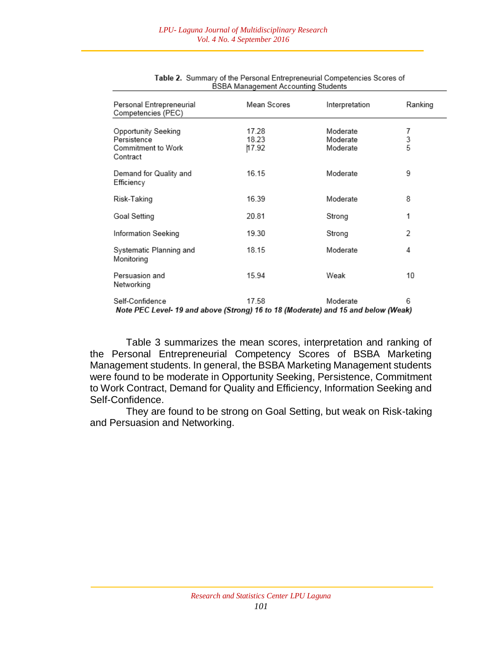| Personal Entrepreneurial<br>Competencies (PEC)                                                       | Mean Scores             | Interpretation                   | Ranking     |
|------------------------------------------------------------------------------------------------------|-------------------------|----------------------------------|-------------|
| Opportunity Seeking<br>Persistence<br>Commitment to Work<br>Contract                                 | 17.28<br>18.23<br>17.92 | Moderate<br>Moderate<br>Moderate | 7<br>3<br>5 |
| Demand for Quality and<br>Efficiency                                                                 | 16.15                   | Moderate                         | 9           |
| Risk-Taking                                                                                          | 16.39                   | Moderate                         | 8           |
| Goal Setting                                                                                         | 20.81                   | Strong                           | 1           |
| Information Seeking                                                                                  | 19.30                   | Strong                           | 2           |
| Systematic Planning and<br>Monitoring                                                                | 18.15                   | Moderate                         | 4           |
| Persuasion and<br>Networking                                                                         | 15.94                   | Weak                             | 10          |
| Self-Confidence<br>Note PEC Level- 19 and above (Strong) 16 to 18 (Moderate) and 15 and below (Weak) | 17.58                   | Moderate                         | 6           |

| Table 2. Summary of the Personal Entrepreneurial Competencies Scores of |  |
|-------------------------------------------------------------------------|--|
| BSBA Management Accounting Students                                     |  |

Table 3 summarizes the mean scores, interpretation and ranking of the Personal Entrepreneurial Competency Scores of BSBA Marketing Management students. In general, the BSBA Marketing Management students were found to be moderate in Opportunity Seeking, Persistence, Commitment to Work Contract, Demand for Quality and Efficiency, Information Seeking and Self-Confidence.

They are found to be strong on Goal Setting, but weak on Risk-taking and Persuasion and Networking.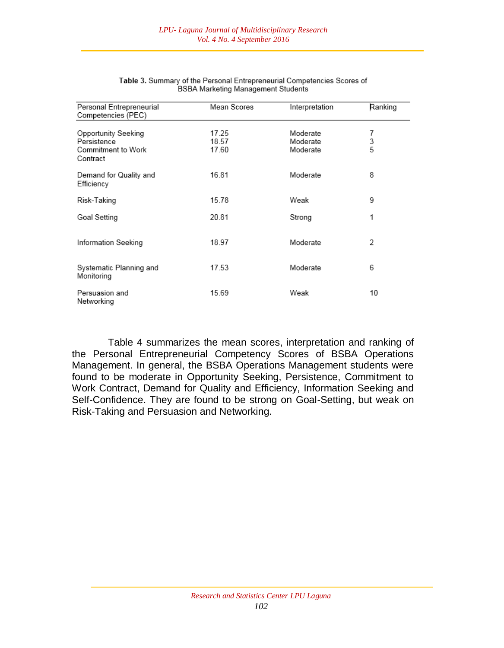|                                                | Mean Scores |                |               |
|------------------------------------------------|-------------|----------------|---------------|
| Personal Entrepreneurial<br>Competencies (PEC) |             | Interpretation | Ranking       |
|                                                |             |                |               |
| Opportunity Seeking                            | 17.25       | Moderate       | 7             |
| Persistence                                    | 18.57       | Moderate       |               |
| Commitment to Work<br>Contract                 | 17.60       | Moderate       | $\frac{3}{5}$ |
| Demand for Quality and<br>Efficiency           | 16.81       | Moderate       | 8             |
| Risk-Taking                                    | 15.78       | Weak           | 9             |
| Goal Setting                                   | 20.81       | Strong         | 1             |
| Information Seeking                            | 18.97       | Moderate       | 2             |
| Systematic Planning and<br>Monitoring          | 17.53       | Moderate       | 6             |
| Persuasion and<br>Networking                   | 15.69       | Weak           | 10            |

#### Table 3. Summary of the Personal Entrepreneurial Competencies Scores of BSBA Marketing Management Students

Table 4 summarizes the mean scores, interpretation and ranking of the Personal Entrepreneurial Competency Scores of BSBA Operations Management. In general, the BSBA Operations Management students were found to be moderate in Opportunity Seeking, Persistence, Commitment to Work Contract, Demand for Quality and Efficiency, Information Seeking and Self-Confidence. They are found to be strong on Goal-Setting, but weak on Risk-Taking and Persuasion and Networking.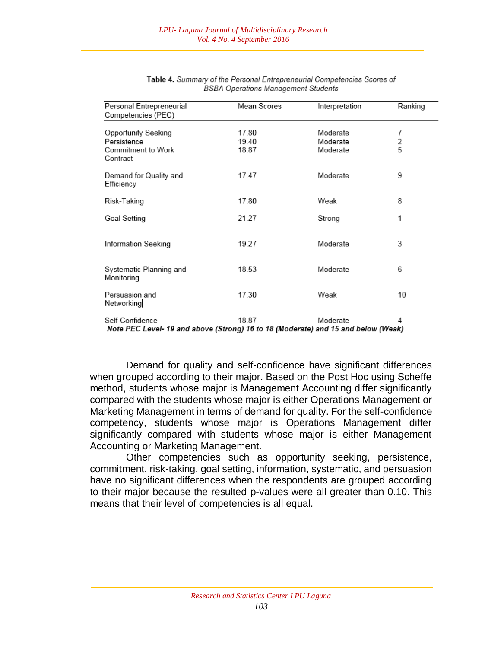| Personal Entrepreneurial<br>Competencies (PEC)                                                       | Mean Scores             | Interpretation                   | Ranking            |
|------------------------------------------------------------------------------------------------------|-------------------------|----------------------------------|--------------------|
| Opportunity Seeking<br>Persistence<br>Commitment to Work<br>Contract                                 | 17.80<br>19.40<br>18.87 | Moderate<br>Moderate<br>Moderate | 7<br>$\frac{2}{5}$ |
| Demand for Quality and<br>Efficiency                                                                 | 17.47                   | Moderate                         | 9                  |
| Risk-Taking                                                                                          | 17.80                   | Weak                             | 8                  |
| Goal Setting                                                                                         | 21.27                   | Strong                           | 1                  |
| Information Seeking                                                                                  | 19.27                   | Moderate                         | 3                  |
| Systematic Planning and<br>Monitoring                                                                | 18.53                   | Moderate                         | 6                  |
| Persuasion and<br>Networking                                                                         | 17.30                   | Weak                             | 10                 |
| Self-Confidence<br>Note PEC Level, 10 and above (Strong) 16 to 18 (Moderate) and 15 and below (Weak) | 1887                    | Moderate                         |                    |

| Table 4. Summary of the Personal Entrepreneurial Competencies Scores of |
|-------------------------------------------------------------------------|
| <b>BSBA Operations Management Students</b>                              |

'EC Level- 19 and above (Strong) 16 to 18 (Moderate) and 15 and below (Weak)

Demand for quality and self-confidence have significant differences when grouped according to their major. Based on the Post Hoc using Scheffe method, students whose major is Management Accounting differ significantly compared with the students whose major is either Operations Management or Marketing Management in terms of demand for quality. For the self-confidence competency, students whose major is Operations Management differ significantly compared with students whose major is either Management Accounting or Marketing Management.

Other competencies such as opportunity seeking, persistence, commitment, risk-taking, goal setting, information, systematic, and persuasion have no significant differences when the respondents are grouped according to their major because the resulted p-values were all greater than 0.10. This means that their level of competencies is all equal.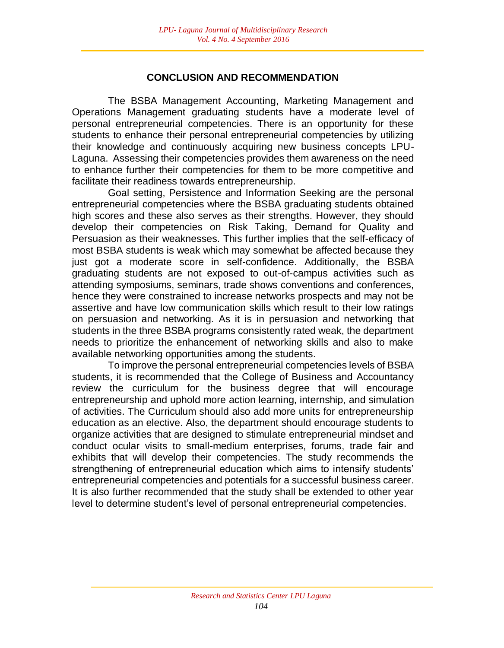# **CONCLUSION AND RECOMMENDATION**

The BSBA Management Accounting, Marketing Management and Operations Management graduating students have a moderate level of personal entrepreneurial competencies. There is an opportunity for these students to enhance their personal entrepreneurial competencies by utilizing their knowledge and continuously acquiring new business concepts LPU-Laguna. Assessing their competencies provides them awareness on the need to enhance further their competencies for them to be more competitive and facilitate their readiness towards entrepreneurship.

Goal setting, Persistence and Information Seeking are the personal entrepreneurial competencies where the BSBA graduating students obtained high scores and these also serves as their strengths. However, they should develop their competencies on Risk Taking, Demand for Quality and Persuasion as their weaknesses. This further implies that the self-efficacy of most BSBA students is weak which may somewhat be affected because they just got a moderate score in self-confidence. Additionally, the BSBA graduating students are not exposed to out-of-campus activities such as attending symposiums, seminars, trade shows conventions and conferences, hence they were constrained to increase networks prospects and may not be assertive and have low communication skills which result to their low ratings on persuasion and networking. As it is in persuasion and networking that students in the three BSBA programs consistently rated weak, the department needs to prioritize the enhancement of networking skills and also to make available networking opportunities among the students.

To improve the personal entrepreneurial competencies levels of BSBA students, it is recommended that the College of Business and Accountancy review the curriculum for the business degree that will encourage entrepreneurship and uphold more action learning, internship, and simulation of activities. The Curriculum should also add more units for entrepreneurship education as an elective. Also, the department should encourage students to organize activities that are designed to stimulate entrepreneurial mindset and conduct ocular visits to small-medium enterprises, forums, trade fair and exhibits that will develop their competencies. The study recommends the strengthening of entrepreneurial education which aims to intensify students' entrepreneurial competencies and potentials for a successful business career. It is also further recommended that the study shall be extended to other year level to determine student's level of personal entrepreneurial competencies.